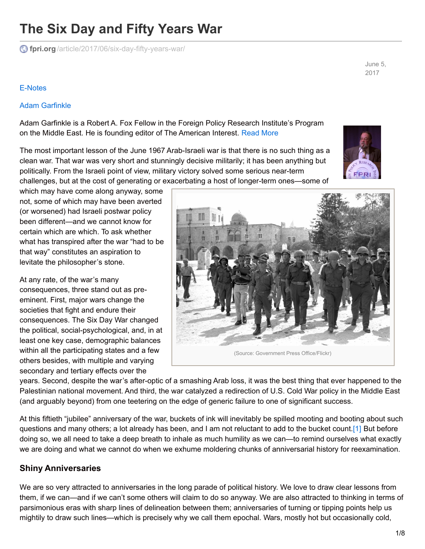# **The Six Day and Fifty Years War**

**fpri.org** [/article/2017/06/six-day-fifty-years-war/](https://www.fpri.org/article/2017/06/six-day-fifty-years-war/)

June 5, 2017

#### [E-Notes](https://www.fpri.org/publications/e-notes)

#### Adam [Garfinkle](https://www.fpri.org/contributor/adam-garfinkle/)

Adam Garfinkle is a Robert A. Fox Fellow in the Foreign Policy Research Institute's Program on the Middle East. He is founding editor of The American Interest. [Read](https://www.fpri.org/contributor/adam-garfinkle/) More

The most important lesson of the June 1967 Arab-Israeli war is that there is no such thing as a clean war. That war was very short and stunningly decisive militarily; it has been anything but politically. From the Israeli point of view, military victory solved some serious near-term challenges, but at the cost of generating or exacerbating a host of longer-term ones—some of



which may have come along anyway, some not, some of which may have been averted (or worsened) had Israeli postwar policy been different—and we cannot know for certain which are which. To ask whether what has transpired after the war "had to be that way" constitutes an aspiration to levitate the philosopher's stone.

At any rate, of the war's many consequences, three stand out as preeminent. First, major wars change the societies that fight and endure their consequences. The Six Day War changed the political, social-psychological, and, in at least one key case, demographic balances within all the participating states and a few others besides, with multiple and varying secondary and tertiary effects over the

<span id="page-0-0"></span>

years. Second, despite the war's after-optic of a smashing Arab loss, it was the best thing that ever happened to the Palestinian national movement. And third, the war catalyzed a redirection of U.S. Cold War policy in the Middle East (and arguably beyond) from one teetering on the edge of generic failure to one of significant success.

At this fiftieth "jubilee" anniversary of the war, buckets of ink will inevitably be spilled mooting and booting about such questions and many others; a lot already has been, and I am not reluctant to add to the bucket count[.\[1\]](#page-7-0) But before doing so, we all need to take a deep breath to inhale as much humility as we can—to remind ourselves what exactly we are doing and what we cannot do when we exhume moldering chunks of anniversarial history for reexamination.

### **Shiny Anniversaries**

We are so very attracted to anniversaries in the long parade of political history. We love to draw clear lessons from them, if we can—and if we can't some others will claim to do so anyway. We are also attracted to thinking in terms of parsimonious eras with sharp lines of delineation between them; anniversaries of turning or tipping points help us mightily to draw such lines—which is precisely why we call them epochal. Wars, mostly hot but occasionally cold,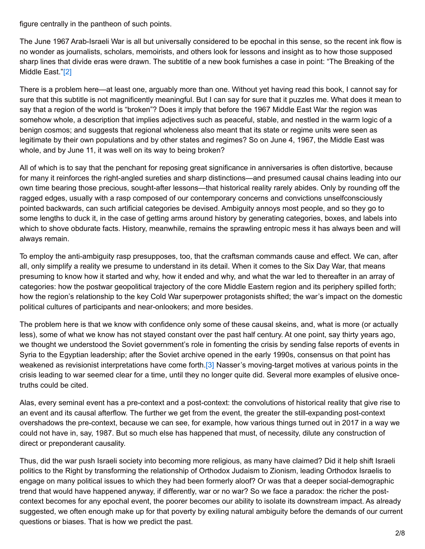figure centrally in the pantheon of such points.

The June 1967 Arab-Israeli War is all but universally considered to be epochal in this sense, so the recent ink flow is no wonder as journalists, scholars, memoirists, and others look for lessons and insight as to how those supposed sharp lines that divide eras were drawn. The subtitle of a new book furnishes a case in point: "The Breaking of the Middle East.["\[2\]](#page-7-1)

<span id="page-1-0"></span>There is a problem here—at least one, arguably more than one. Without yet having read this book, I cannot say for sure that this subtitle is not magnificently meaningful. But I can say for sure that it puzzles me. What does it mean to say that a region of the world is "broken"? Does it imply that before the 1967 Middle East War the region was somehow whole, a description that implies adjectives such as peaceful, stable, and nestled in the warm logic of a benign cosmos; and suggests that regional wholeness also meant that its state or regime units were seen as legitimate by their own populations and by other states and regimes? So on June 4, 1967, the Middle East was whole, and by June 11, it was well on its way to being broken?

All of which is to say that the penchant for reposing great significance in anniversaries is often distortive, because for many it reinforces the right-angled sureties and sharp distinctions—and presumed causal chains leading into our own time bearing those precious, sought-after lessons—that historical reality rarely abides. Only by rounding off the ragged edges, usually with a rasp composed of our contemporary concerns and convictions unselfconsciously pointed backwards, can such artificial categories be devised. Ambiguity annoys most people, and so they go to some lengths to duck it, in the case of getting arms around history by generating categories, boxes, and labels into which to shove obdurate facts. History, meanwhile, remains the sprawling entropic mess it has always been and will always remain.

To employ the anti-ambiguity rasp presupposes, too, that the craftsman commands cause and effect. We can, after all, only simplify a reality we presume to understand in its detail. When it comes to the Six Day War, that means presuming to know how it started and why, how it ended and why, and what the war led to thereafter in an array of categories: how the postwar geopolitical trajectory of the core Middle Eastern region and its periphery spilled forth; how the region's relationship to the key Cold War superpower protagonists shifted; the war's impact on the domestic political cultures of participants and near-onlookers; and more besides.

The problem here is that we know with confidence only some of these causal skeins, and, what is more (or actually less), some of what we know has not stayed constant over the past half century. At one point, say thirty years ago, we thought we understood the Soviet government's role in fomenting the crisis by sending false reports of events in Syria to the Egyptian leadership; after the Soviet archive opened in the early 1990s, consensus on that point has weakened as revisionist interpretations have come forth.<sup>[3]</sup> Nasser's moving-target motives at various points in the crisis leading to war seemed clear for a time, until they no longer quite did. Several more examples of elusive oncetruths could be cited.

<span id="page-1-1"></span>Alas, every seminal event has a pre-context and a post-context: the convolutions of historical reality that give rise to an event and its causal afterflow. The further we get from the event, the greater the still-expanding post-context overshadows the pre-context, because we can see, for example, how various things turned out in 2017 in a way we could not have in, say, 1987. But so much else has happened that must, of necessity, dilute any construction of direct or preponderant causality.

Thus, did the war push Israeli society into becoming more religious, as many have claimed? Did it help shift Israeli politics to the Right by transforming the relationship of Orthodox Judaism to Zionism, leading Orthodox Israelis to engage on many political issues to which they had been formerly aloof? Or was that a deeper social-demographic trend that would have happened anyway, if differently, war or no war? So we face a paradox: the richer the postcontext becomes for any epochal event, the poorer becomes our ability to isolate its downstream impact. As already suggested, we often enough make up for that poverty by exiling natural ambiguity before the demands of our current questions or biases. That is how we predict the past.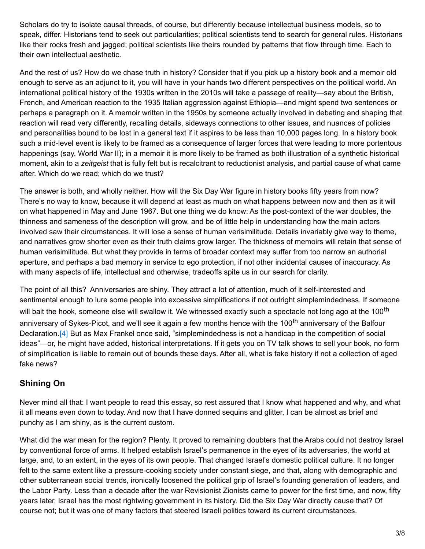Scholars do try to isolate causal threads, of course, but differently because intellectual business models, so to speak, differ. Historians tend to seek out particularities; political scientists tend to search for general rules. Historians like their rocks fresh and jagged; political scientists like theirs rounded by patterns that flow through time. Each to their own intellectual aesthetic.

And the rest of us? How do we chase truth in history? Consider that if you pick up a history book and a memoir old enough to serve as an adjunct to it, you will have in your hands two different perspectives on the political world. An international political history of the 1930s written in the 2010s will take a passage of reality—say about the British, French, and American reaction to the 1935 Italian aggression against Ethiopia—and might spend two sentences or perhaps a paragraph on it. A memoir written in the 1950s by someone actually involved in debating and shaping that reaction will read very differently, recalling details, sideways connections to other issues, and nuances of policies and personalities bound to be lost in a general text if it aspires to be less than 10,000 pages long. In a history book such a mid-level event is likely to be framed as a consequence of larger forces that were leading to more portentous happenings (say, World War II); in a memoir it is more likely to be framed as both illustration of a synthetic historical moment, akin to a *zeitgeist* that is fully felt but is recalcitrant to reductionist analysis, and partial cause of what came after. Which do we read; which do we trust?

The answer is both, and wholly neither. How will the Six Day War figure in history books fifty years from now? There's no way to know, because it will depend at least as much on what happens between now and then as it will on what happened in May and June 1967. But one thing we do know: As the post-context of the war doubles, the thinness and sameness of the description will grow, and be of little help in understanding how the main actors involved saw their circumstances. It will lose a sense of human verisimilitude. Details invariably give way to theme, and narratives grow shorter even as their truth claims grow larger. The thickness of memoirs will retain that sense of human verisimilitude. But what they provide in terms of broader context may suffer from too narrow an authorial aperture, and perhaps a bad memory in service to ego protection, if not other incidental causes of inaccuracy. As with many aspects of life, intellectual and otherwise, tradeoffs spite us in our search for clarity.

<span id="page-2-0"></span>The point of all this? Anniversaries are shiny. They attract a lot of attention, much of it self-interested and sentimental enough to lure some people into excessive simplifications if not outright simplemindedness. If someone will bait the hook, someone else will swallow it. We witnessed exactly such a spectacle not long ago at the 100<sup>th</sup> anniversary of Sykes-Picot, and we'll see it again a few months hence with the 100<sup>th</sup> anniversary of the Balfour Declaration.[\[4\]](#page-7-3) But as Max Frankel once said, "simplemindedness is not a handicap in the competition of social ideas"—or, he might have added, historical interpretations. If it gets you on TV talk shows to sell your book, no form of simplification is liable to remain out of bounds these days. After all, what is fake history if not a collection of aged fake news?

### **Shining On**

Never mind all that: I want people to read this essay, so rest assured that I know what happened and why, and what it all means even down to today. And now that I have donned sequins and glitter, I can be almost as brief and punchy as I am shiny, as is the current custom.

What did the war mean for the region? Plenty. It proved to remaining doubters that the Arabs could not destroy Israel by conventional force of arms. It helped establish Israel's permanence in the eyes of its adversaries, the world at large, and, to an extent, in the eyes of its own people. That changed Israel's domestic political culture. It no longer felt to the same extent like a pressure-cooking society under constant siege, and that, along with demographic and other subterranean social trends, ironically loosened the political grip of Israel's founding generation of leaders, and the Labor Party. Less than a decade after the war Revisionist Zionists came to power for the first time, and now, fifty years later, Israel has the most rightwing government in its history. Did the Six Day War directly cause that? Of course not; but it was one of many factors that steered Israeli politics toward its current circumstances.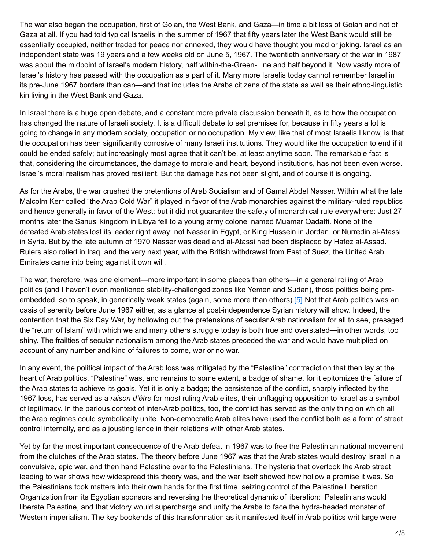The war also began the occupation, first of Golan, the West Bank, and Gaza—in time a bit less of Golan and not of Gaza at all. If you had told typical Israelis in the summer of 1967 that fifty years later the West Bank would still be essentially occupied, neither traded for peace nor annexed, they would have thought you mad or joking. Israel as an independent state was 19 years and a few weeks old on June 5, 1967. The twentieth anniversary of the war in 1987 was about the midpoint of Israel's modern history, half within-the-Green-Line and half beyond it. Now vastly more of Israel's history has passed with the occupation as a part of it. Many more Israelis today cannot remember Israel in its pre-June 1967 borders than can—and that includes the Arabs citizens of the state as well as their ethno-linguistic kin living in the West Bank and Gaza.

In Israel there is a huge open debate, and a constant more private discussion beneath it, as to how the occupation has changed the nature of Israeli society. It is a difficult debate to set premises for, because in fifty years a lot is going to change in any modern society, occupation or no occupation. My view, like that of most Israelis I know, is that the occupation has been significantly corrosive of many Israeli institutions. They would like the occupation to end if it could be ended safely; but increasingly most agree that it can't be, at least anytime soon. The remarkable fact is that, considering the circumstances, the damage to morale and heart, beyond institutions, has not been even worse. Israel's moral realism has proved resilient. But the damage has not been slight, and of course it is ongoing.

As for the Arabs, the war crushed the pretentions of Arab Socialism and of Gamal Abdel Nasser. Within what the late Malcolm Kerr called "the Arab Cold War" it played in favor of the Arab monarchies against the military-ruled republics and hence generally in favor of the West; but it did not guarantee the safety of monarchical rule everywhere: Just 27 months later the Sanusi kingdom in Libya fell to a young army colonel named Muamar Qadaffi. None of the defeated Arab states lost its leader right away: not Nasser in Egypt, or King Hussein in Jordan, or Nurredin al-Atassi in Syria. But by the late autumn of 1970 Nasser was dead and al-Atassi had been displaced by Hafez al-Assad. Rulers also rolled in Iraq, and the very next year, with the British withdrawal from East of Suez, the United Arab Emirates came into being against it own will.

<span id="page-3-0"></span>The war, therefore, was one element—more important in some places than others—in a general roiling of Arab politics (and I haven't even mentioned stability-challenged zones like Yemen and Sudan), those politics being preembedded, so to speak, in generically weak states (again, some more than others)[.\[5\]](#page-7-4) Not that Arab politics was an oasis of serenity before June 1967 either, as a glance at post-independence Syrian history will show. Indeed, the contention that the Six Day War, by hollowing out the pretensions of secular Arab nationalism for all to see, presaged the "return of Islam" with which we and many others struggle today is both true and overstated—in other words, too shiny. The frailties of secular nationalism among the Arab states preceded the war and would have multiplied on account of any number and kind of failures to come, war or no war.

In any event, the political impact of the Arab loss was mitigated by the "Palestine" contradiction that then lay at the heart of Arab politics. "Palestine" was, and remains to some extent, a badge of shame, for it epitomizes the failure of the Arab states to achieve its goals. Yet it is only a badge; the persistence of the conflict, sharply inflected by the 1967 loss, has served as a *raison d'être* for most ruling Arab elites, their unflagging opposition to Israel as a symbol of legitimacy. In the parlous context of inter-Arab politics, too, the conflict has served as the only thing on which all the Arab regimes could symbolically unite. Non-democratic Arab elites have used the conflict both as a form of street control internally, and as a jousting lance in their relations with other Arab states.

Yet by far the most important consequence of the Arab defeat in 1967 was to free the Palestinian national movement from the clutches of the Arab states. The theory before June 1967 was that the Arab states would destroy Israel in a convulsive, epic war, and then hand Palestine over to the Palestinians. The hysteria that overtook the Arab street leading to war shows how widespread this theory was, and the war itself showed how hollow a promise it was. So the Palestinians took matters into their own hands for the first time, seizing control of the Palestine Liberation Organization from its Egyptian sponsors and reversing the theoretical dynamic of liberation: Palestinians would liberate Palestine, and that victory would supercharge and unify the Arabs to face the hydra-headed monster of Western imperialism. The key bookends of this transformation as it manifested itself in Arab politics writ large were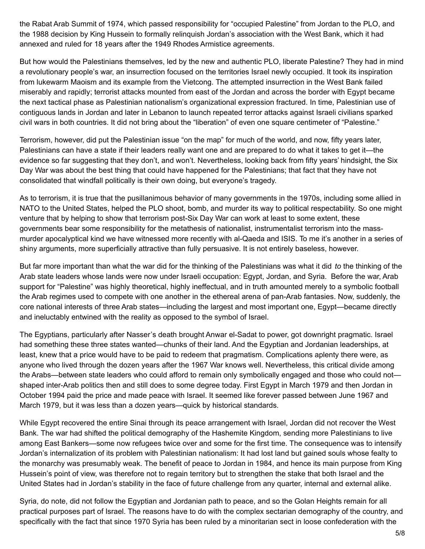the Rabat Arab Summit of 1974, which passed responsibility for "occupied Palestine" from Jordan to the PLO, and the 1988 decision by King Hussein to formally relinquish Jordan's association with the West Bank, which it had annexed and ruled for 18 years after the 1949 Rhodes Armistice agreements.

But how would the Palestinians themselves, led by the new and authentic PLO, liberate Palestine? They had in mind a revolutionary people's war, an insurrection focused on the territories Israel newly occupied. It took its inspiration from lukewarm Maoism and its example from the Vietcong. The attempted insurrection in the West Bank failed miserably and rapidly; terrorist attacks mounted from east of the Jordan and across the border with Egypt became the next tactical phase as Palestinian nationalism's organizational expression fractured. In time, Palestinian use of contiguous lands in Jordan and later in Lebanon to launch repeated terror attacks against Israeli civilians sparked civil wars in both countries. It did not bring about the "liberation" of even one square centimeter of "Palestine."

Terrorism, however, did put the Palestinian issue "on the map" for much of the world, and now, fifty years later, Palestinians can have a state if their leaders really want one and are prepared to do what it takes to get it—the evidence so far suggesting that they don't, and won't. Nevertheless, looking back from fifty years' hindsight, the Six Day War was about the best thing that could have happened for the Palestinians; that fact that they have not consolidated that windfall politically is their own doing, but everyone's tragedy.

As to terrorism, it is true that the pusillanimous behavior of many governments in the 1970s, including some allied in NATO to the United States, helped the PLO shoot, bomb, and murder its way to political respectability. So one might venture that by helping to show that terrorism post-Six Day War can work at least to some extent, these governments bear some responsibility for the metathesis of nationalist, instrumentalist terrorism into the massmurder apocalyptical kind we have witnessed more recently with al-Qaeda and ISIS. To me it's another in a series of shiny arguments, more superficially attractive than fully persuasive. It is not entirely baseless, however.

But far more important than what the war did for the thinking of the Palestinians was what it did *to* the thinking of the Arab state leaders whose lands were now under Israeli occupation: Egypt, Jordan, and Syria. Before the war, Arab support for "Palestine" was highly theoretical, highly ineffectual, and in truth amounted merely to a symbolic football the Arab regimes used to compete with one another in the ethereal arena of pan-Arab fantasies. Now, suddenly, the core national interests of three Arab states—including the largest and most important one, Egypt—became directly and ineluctably entwined with the reality as opposed to the symbol of Israel.

The Egyptians, particularly after Nasser's death brought Anwar el-Sadat to power, got downright pragmatic. Israel had something these three states wanted—chunks of their land. And the Egyptian and Jordanian leaderships, at least, knew that a price would have to be paid to redeem that pragmatism. Complications aplenty there were, as anyone who lived through the dozen years after the 1967 War knows well. Nevertheless, this critical divide among the Arabs—between state leaders who could afford to remain only symbolically engaged and those who could not shaped inter-Arab politics then and still does to some degree today. First Egypt in March 1979 and then Jordan in October 1994 paid the price and made peace with Israel. It seemed like forever passed between June 1967 and March 1979, but it was less than a dozen years—quick by historical standards.

While Egypt recovered the entire Sinai through its peace arrangement with Israel, Jordan did not recover the West Bank. The war had shifted the political demography of the Hashemite Kingdom, sending more Palestinians to live among East Bankers—some now refugees twice over and some for the first time. The consequence was to intensify Jordan's internalization of its problem with Palestinian nationalism: It had lost land but gained souls whose fealty to the monarchy was presumably weak. The benefit of peace to Jordan in 1984, and hence its main purpose from King Hussein's point of view, was therefore not to regain territory but to strengthen the stake that both Israel and the United States had in Jordan's stability in the face of future challenge from any quarter, internal and external alike.

Syria, do note, did not follow the Egyptian and Jordanian path to peace, and so the Golan Heights remain for all practical purposes part of Israel. The reasons have to do with the complex sectarian demography of the country, and specifically with the fact that since 1970 Syria has been ruled by a minoritarian sect in loose confederation with the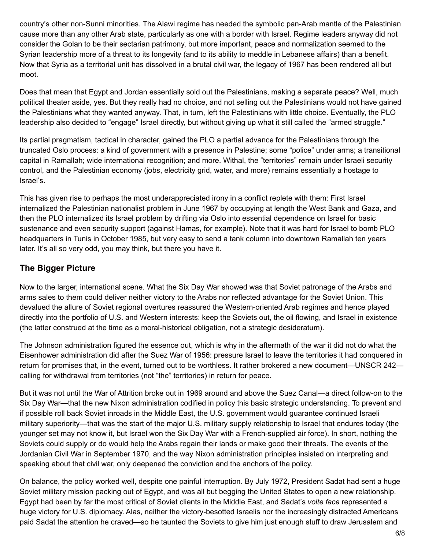country's other non-Sunni minorities. The Alawi regime has needed the symbolic pan-Arab mantle of the Palestinian cause more than any other Arab state, particularly as one with a border with Israel. Regime leaders anyway did not consider the Golan to be their sectarian patrimony, but more important, peace and normalization seemed to the Syrian leadership more of a threat to its longevity (and to its ability to meddle in Lebanese affairs) than a benefit. Now that Syria as a territorial unit has dissolved in a brutal civil war, the legacy of 1967 has been rendered all but moot.

Does that mean that Egypt and Jordan essentially sold out the Palestinians, making a separate peace? Well, much political theater aside, yes. But they really had no choice, and not selling out the Palestinians would not have gained the Palestinians what they wanted anyway. That, in turn, left the Palestinians with little choice. Eventually, the PLO leadership also decided to "engage" Israel directly, but without giving up what it still called the "armed struggle."

Its partial pragmatism, tactical in character, gained the PLO a partial advance for the Palestinians through the truncated Oslo process: a kind of government with a presence in Palestine; some "police" under arms; a transitional capital in Ramallah; wide international recognition; and more. Withal, the "territories" remain under Israeli security control, and the Palestinian economy (jobs, electricity grid, water, and more) remains essentially a hostage to Israel's.

This has given rise to perhaps the most underappreciated irony in a conflict replete with them: First Israel internalized the Palestinian nationalist problem in June 1967 by occupying at length the West Bank and Gaza, and then the PLO internalized its Israel problem by drifting via Oslo into essential dependence on Israel for basic sustenance and even security support (against Hamas, for example). Note that it was hard for Israel to bomb PLO headquarters in Tunis in October 1985, but very easy to send a tank column into downtown Ramallah ten years later. It's all so very odd, you may think, but there you have it.

## **The Bigger Picture**

Now to the larger, international scene. What the Six Day War showed was that Soviet patronage of the Arabs and arms sales to them could deliver neither victory to the Arabs nor reflected advantage for the Soviet Union. This devalued the allure of Soviet regional overtures reassured the Western-oriented Arab regimes and hence played directly into the portfolio of U.S. and Western interests: keep the Soviets out, the oil flowing, and Israel in existence (the latter construed at the time as a moral-historical obligation, not a strategic desideratum).

The Johnson administration figured the essence out, which is why in the aftermath of the war it did not do what the Eisenhower administration did after the Suez War of 1956: pressure Israel to leave the territories it had conquered in return for promises that, in the event, turned out to be worthless. It rather brokered a new document—UNSCR 242 calling for withdrawal from territories (not "the" territories) in return for peace.

But it was not until the War of Attrition broke out in 1969 around and above the Suez Canal—a direct follow-on to the Six Day War—that the new Nixon administration codified in policy this basic strategic understanding. To prevent and if possible roll back Soviet inroads in the Middle East, the U.S. government would guarantee continued Israeli military superiority—that was the start of the major U.S. military supply relationship to Israel that endures today (the younger set may not know it, but Israel won the Six Day War with a French-supplied air force). In short, nothing the Soviets could supply or do would help the Arabs regain their lands or make good their threats. The events of the Jordanian Civil War in September 1970, and the way Nixon administration principles insisted on interpreting and speaking about that civil war, only deepened the conviction and the anchors of the policy.

On balance, the policy worked well, despite one painful interruption. By July 1972, President Sadat had sent a huge Soviet military mission packing out of Egypt, and was all but begging the United States to open a new relationship. Egypt had been by far the most critical of Soviet clients in the Middle East, and Sadat's *volte face* represented a huge victory for U.S. diplomacy. Alas, neither the victory-besotted Israelis nor the increasingly distracted Americans paid Sadat the attention he craved—so he taunted the Soviets to give him just enough stuff to draw Jerusalem and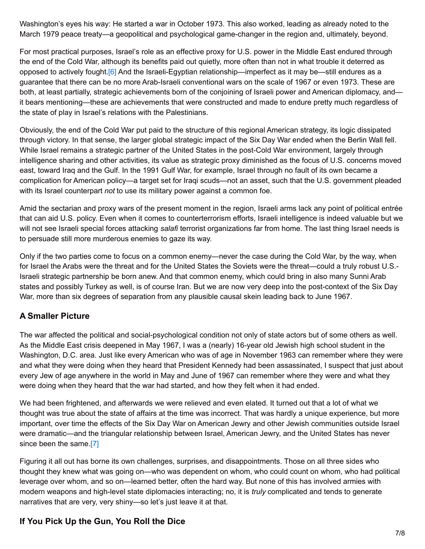Washington's eyes his way: He started a war in October 1973. This also worked, leading as already noted to the March 1979 peace treaty—a geopolitical and psychological game-changer in the region and, ultimately, beyond.

<span id="page-6-0"></span>For most practical purposes, Israel's role as an effective proxy for U.S. power in the Middle East endured through the end of the Cold War, although its benefits paid out quietly, more often than not in what trouble it deterred as opposed to actively fought[.\[6\]](#page-7-5) And the Israeli-Egyptian relationship—imperfect as it may be—still endures as a guarantee that there can be no more Arab-Israeli conventional wars on the scale of 1967 or even 1973. These are both, at least partially, strategic achievements born of the conjoining of Israeli power and American diplomacy, and it bears mentioning—these are achievements that were constructed and made to endure pretty much regardless of the state of play in Israel's relations with the Palestinians.

Obviously, the end of the Cold War put paid to the structure of this regional American strategy, its logic dissipated through victory. In that sense, the larger global strategic impact of the Six Day War ended when the Berlin Wall fell. While Israel remains a strategic partner of the United States in the post-Cold War environment, largely through intelligence sharing and other activities, its value as strategic proxy diminished as the focus of U.S. concerns moved east, toward Iraq and the Gulf. In the 1991 Gulf War, for example, Israel through no fault of its own became a complication for American policy—a target set for Iraqi scuds—not an asset, such that the U.S. government pleaded with its Israel counterpart *not* to use its military power against a common foe.

Amid the sectarian and proxy wars of the present moment in the region, Israeli arms lack any point of political entrée that can aid U.S. policy. Even when it comes to counterterrorism efforts, Israeli intelligence is indeed valuable but we will not see Israeli special forces attacking *salafi* terrorist organizations far from home. The last thing Israel needs is to persuade still more murderous enemies to gaze its way.

Only if the two parties come to focus on a common enemy—never the case during the Cold War, by the way, when for Israel the Arabs were the threat and for the United States the Soviets were the threat—could a truly robust U.S.- Israeli strategic partnership be born anew. And that common enemy, which could bring in also many Sunni Arab states and possibly Turkey as well, is of course Iran. But we are now very deep into the post-context of the Six Day War, more than six degrees of separation from any plausible causal skein leading back to June 1967.

## **A Smaller Picture**

The war affected the political and social-psychological condition not only of state actors but of some others as well. As the Middle East crisis deepened in May 1967, I was a (nearly) 16-year old Jewish high school student in the Washington, D.C. area. Just like every American who was of age in November 1963 can remember where they were and what they were doing when they heard that President Kennedy had been assassinated, I suspect that just about every Jew of age anywhere in the world in May and June of 1967 can remember where they were and what they were doing when they heard that the war had started, and how they felt when it had ended.

We had been frightened, and afterwards we were relieved and even elated. It turned out that a lot of what we thought was true about the state of affairs at the time was incorrect. That was hardly a unique experience, but more important, over time the effects of the Six Day War on American Jewry and other Jewish communities outside Israel were dramatic—and the triangular relationship between Israel, American Jewry, and the United States has never since been the same[.\[7\]](#page-7-6)

<span id="page-6-1"></span>Figuring it all out has borne its own challenges, surprises, and disappointments. Those on all three sides who thought they knew what was going on—who was dependent on whom, who could count on whom, who had political leverage over whom, and so on—learned better, often the hard way. But none of this has involved armies with modern weapons and high-level state diplomacies interacting; no, it is *truly* complicated and tends to generate narratives that are very, very shiny—so let's just leave it at that.

### **If You Pick Up the Gun, You Roll the Dice**